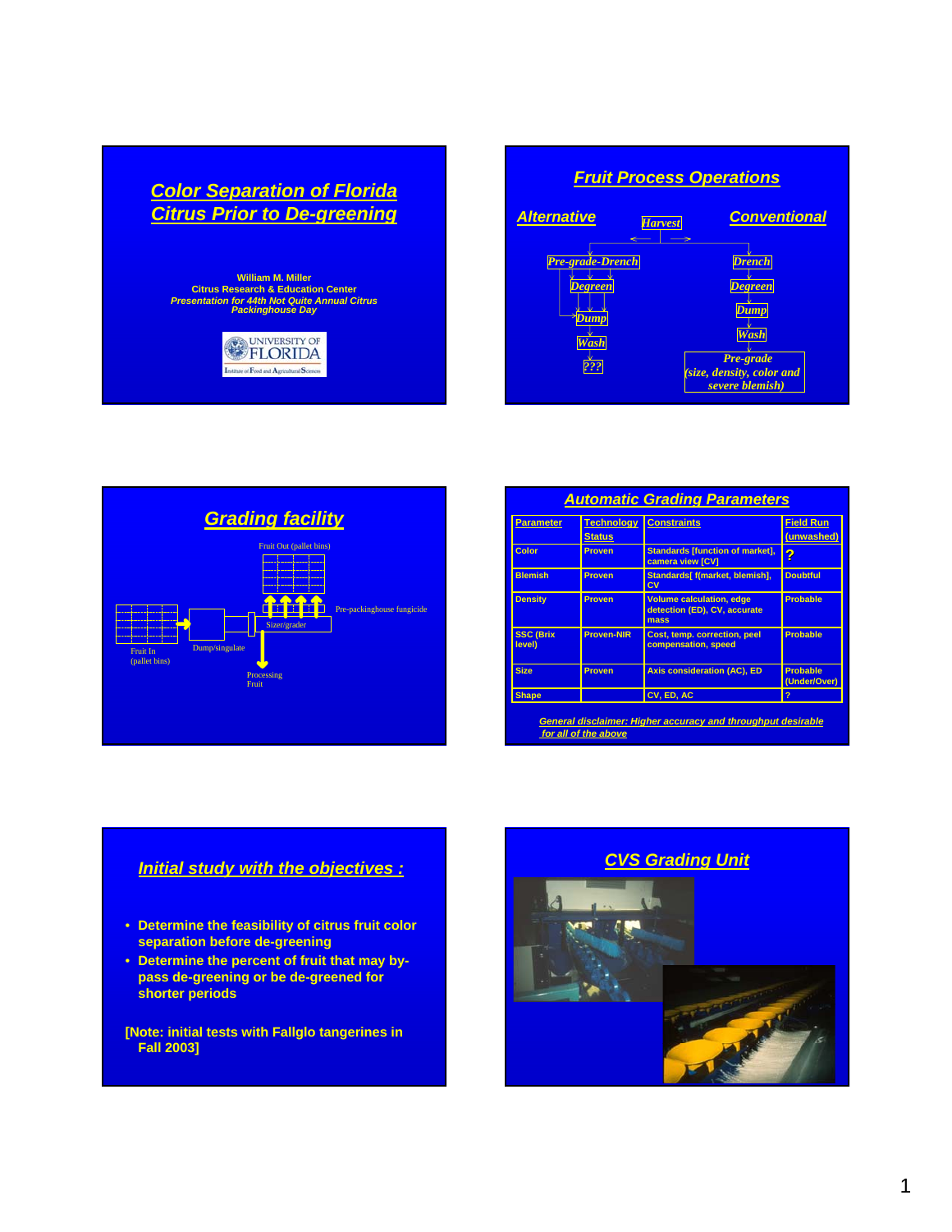





| <b>Parameter</b>           | <b>Technology</b><br><b>Status</b> | <b>Constraints</b>                                                      | <b>Field Run</b><br>(unwashed)  |
|----------------------------|------------------------------------|-------------------------------------------------------------------------|---------------------------------|
| Color                      | Proven                             | <b>Standards [function of market],</b><br>camera view [CV]              | ?                               |
| <b>Blemish</b>             | <b>Proven</b>                      | Standards[ f(market, blemish],<br>$c_{V}$                               | <b>Doubtful</b>                 |
| <b>Density</b>             | Proven                             | <b>Volume calculation, edge</b><br>detection (ED), CV, accurate<br>mass | <b>Probable</b>                 |
| <b>SSC (Brix</b><br>level) | <b>Proven-NIR</b>                  | Cost, temp. correction, peel<br>compensation, speed                     | <b>Probable</b>                 |
| <b>Size</b>                | Proven                             | <b>Axis consideration (AC), ED</b>                                      | <b>Probable</b><br>(Under/Over) |
| <b>Shape</b>               |                                    | CV, ED, AC                                                              |                                 |
|                            | for all of the above               | <b>General disclaimer: Higher accuracy and throughput desirable</b>     |                                 |

# *Initial study with the objectives :*

- **Determine the feasibility of citrus fruit color separation before de-greening**
- **Determine the percent of fruit that may bypass de-greening or be de-greened for shorter periods**

**[Note: initial tests with Fallglo tangerines in Fall 2003]**

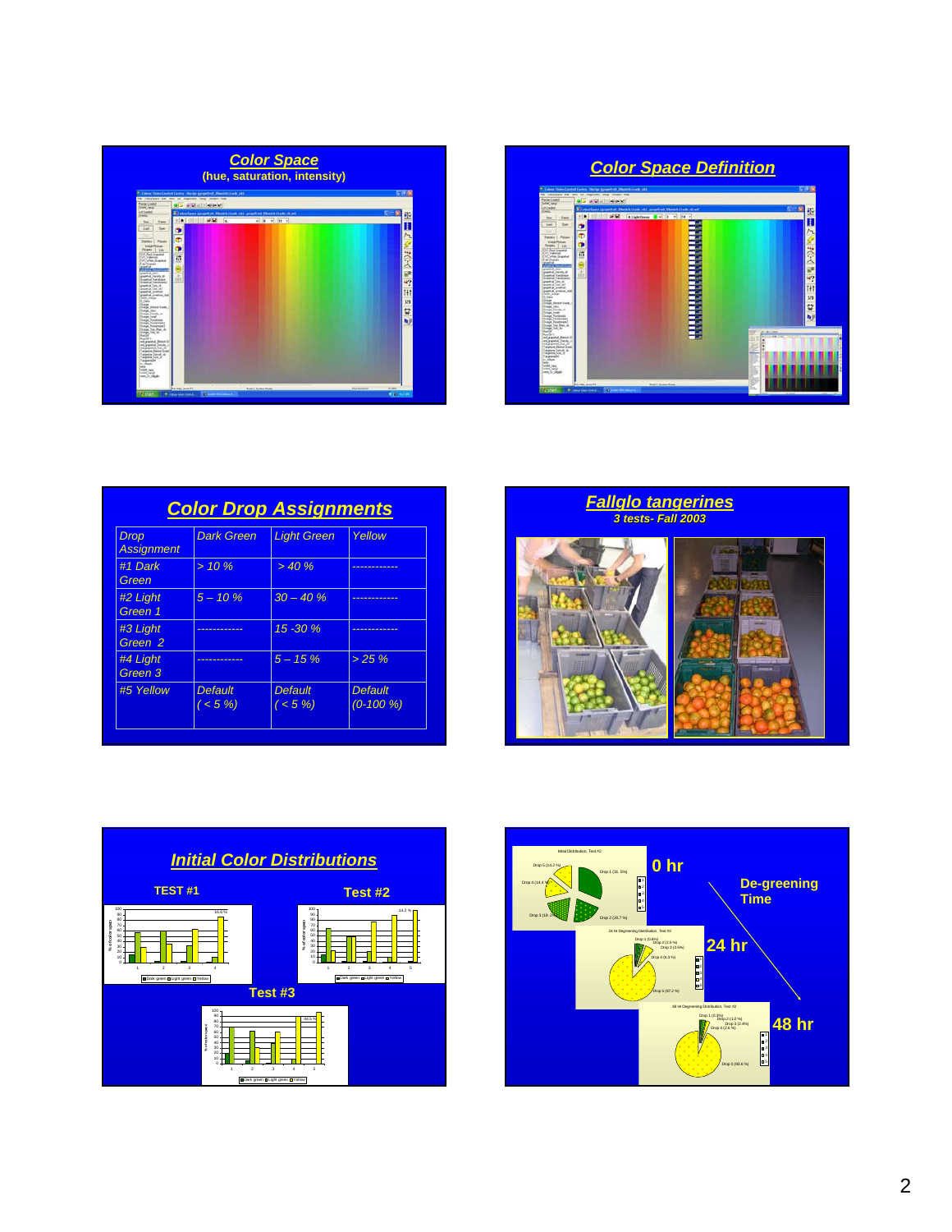



| <b>Color Drop Assignments</b>    |                              |                             |                                |  |
|----------------------------------|------------------------------|-----------------------------|--------------------------------|--|
| <b>Drop</b><br><b>Assignment</b> | <b>Dark Green</b>            | <b>Light Green</b>          | Yellow                         |  |
| #1 Dark<br>Green                 | $> 10 \%$                    | > 40%                       |                                |  |
| #2 Light<br>Green 1              | $5 - 10 \%$                  | $30 - 40%$                  |                                |  |
| #3 Light<br>Green <sub>2</sub>   | ----------                   | $15 - 30%$                  |                                |  |
| #4 Light<br>Green 3              | ----------                   | $5 - 15\%$                  | > 25%                          |  |
| #5 Yellow                        | <b>Default</b><br>$($ < 5 %) | <b>Default</b><br>$(< 5\%)$ | <b>Default</b><br>$(0-100\% )$ |  |